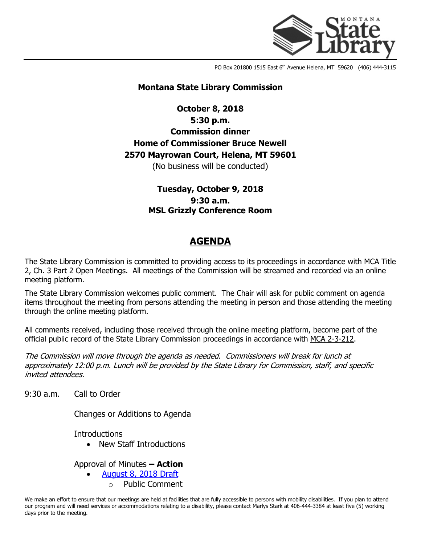

PO Box 201800 1515 East 6<sup>th</sup> Avenue Helena, MT 59620 (406) 444-3115

#### **Montana State Library Commission**

# **October 8, 2018 5:30 p.m. Commission dinner Home of Commissioner Bruce Newell 2570 Mayrowan Court, Helena, MT 59601**

(No business will be conducted)

**Tuesday, October 9, 2018 9:30 a.m. MSL Grizzly Conference Room**

## **AGENDA**

The State Library Commission is committed to providing access to its proceedings in accordance with MCA Title 2, Ch. 3 Part 2 Open Meetings. All meetings of the Commission will be streamed and recorded via an online meeting platform.

The State Library Commission welcomes public comment. The Chair will ask for public comment on agenda items throughout the meeting from persons attending the meeting in person and those attending the meeting through the online meeting platform.

All comments received, including those received through the online meeting platform, become part of the official public record of the State Library Commission proceedings in accordance with [MCA 2-3-212.](http://leg.mt.gov/bills/mca/2/3/2-3-212.htm)

The Commission will move through the agenda as needed. Commissioners will break for lunch at approximately 12:00 p.m. Lunch will be provided by the State Library for Commission, staff, and specific invited attendees.

9:30 a.m. Call to Order

Changes or Additions to Agenda

**Introductions** 

• New Staff Introductions

Approval of Minutes **– Action**

• [August 8, 2018 Draft](http://ftp.aspen.msl.mt.gov/EventResources/2018100114_11681.pdf)

Public Comment

We make an effort to ensure that our meetings are held at facilities that are fully accessible to persons with mobility disabilities. If you plan to attend our program and will need services or accommodations relating to a disability, please contact Marlys Stark at 406-444-3384 at least five (5) working days prior to the meeting.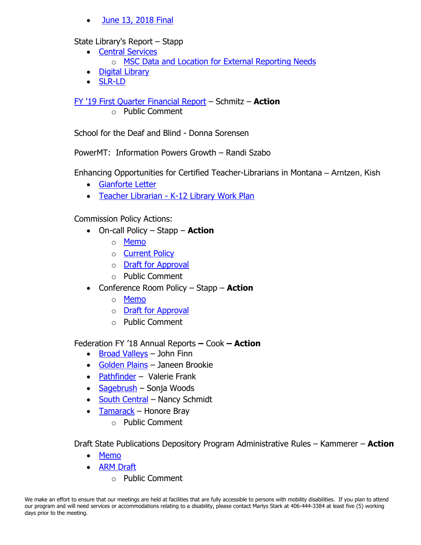• [June 13, 2018 Final](http://ftp.aspen.msl.mt.gov/EventResources/2018100434_11681.pdf)

### State Library's Report – Stapp

- [Central Services](http://ftp.aspen.msl.mt.gov/EventResources/2018100544_11681.pdf)
	- o [MSC Data and Location for External Reporting Needs](http://ftp.aspen.msl.mt.gov/EventResources/2018100106_11681.pdf)
- [Digital Library](http://ftp.aspen.msl.mt.gov/EventResources/2018100126_11681.pdf)
- [SLR-LD](http://ftp.aspen.msl.mt.gov/EventResources/2018100108_11681.pdf)

[FY '19 First Quarter Financial Report](http://ftp.aspen.msl.mt.gov/EventResources/2018100500_11681.pdf) – Schmitz – **Action**

o Public Comment

School for the Deaf and Blind - Donna Sorensen

PowerMT: Information Powers Growth – Randi Szabo

Enhancing Opportunities for Certified Teacher-Librarians in Montana – Arntzen, Kish

- [Gianforte Letter](http://ftp.aspen.msl.mt.gov/EventResources/2018100425_11681.pdf)
- Teacher Librarian [K-12 Library Work Plan](http://ftp.aspen.msl.mt.gov/EventResources/2018100940_11681.pdf)

Commission Policy Actions:

- On-call Policy Stapp **Action**
	- o [Memo](http://ftp.aspen.msl.mt.gov/EventResources/2018100418_11681.pdf)
	- o [Current Policy](http://ftp.aspen.msl.mt.gov/EventResources/2018100424_11681.pdf)
	- o [Draft for Approval](http://ftp.aspen.msl.mt.gov/EventResources/2018100937_11681.pdf)
	- o Public Comment
- Conference Room Policy Stapp **Action**
	- o [Memo](http://ftp.aspen.msl.mt.gov/EventResources/2018100130_11681.pdf)
	- o [Draft for Approval](http://ftp.aspen.msl.mt.gov/EventResources/2018100450_11681.pdf)
	- o Public Comment

Federation FY '18 Annual Reports **–** Cook **– Action**

- [Broad Valleys](http://ftp.aspen.msl.mt.gov/EventResources/2018100107_11681.pdf) John Finn
- [Golden Plains](http://ftp.aspen.msl.mt.gov/EventResources/2018100136_11681.pdf) Janeen Brookie
- [Pathfinder](http://ftp.aspen.msl.mt.gov/EventResources/2018100142_11681.pdf) Valerie Frank
- [Sagebrush](http://ftp.aspen.msl.mt.gov/EventResources/2018100134_11681.pdf) Sonja Woods
- [South Central](http://ftp.aspen.msl.mt.gov/EventResources/2018100437_11681.pdf) Nancy Schmidt
- [Tamarack](http://ftp.aspen.msl.mt.gov/EventResources/2018100150_11681.pdf) Honore Bray
	- o Public Comment

Draft State Publications Depository Program Administrative Rules – Kammerer – **Action**

- [Memo](http://ftp.aspen.msl.mt.gov/EventResources/2018100441_11681.pdf)
- [ARM Draft](http://ftp.aspen.msl.mt.gov/EventResources/2018100423_11681.pdf) 
	- o Public Comment

We make an effort to ensure that our meetings are held at facilities that are fully accessible to persons with mobility disabilities. If you plan to attend our program and will need services or accommodations relating to a disability, please contact Marlys Stark at 406-444-3384 at least five (5) working days prior to the meeting.